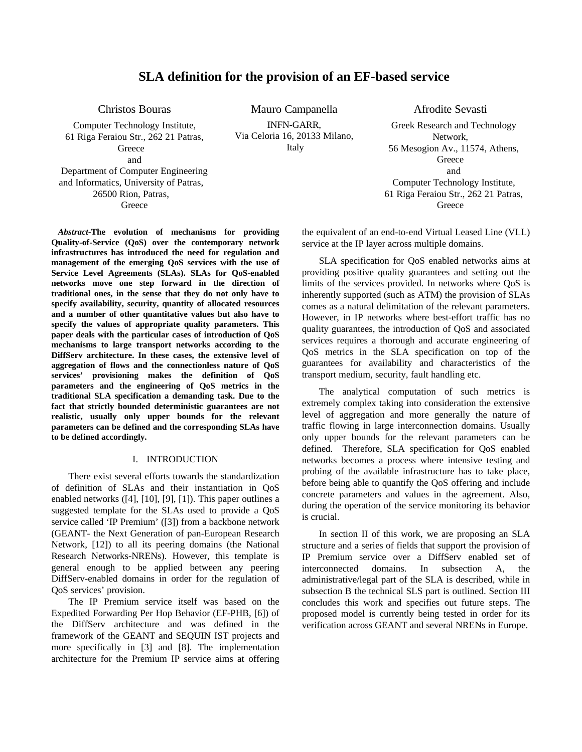# **SLA definition for the provision of an EF-based service**

Christos Bouras

Computer Technology Institute, 61 Riga Feraiou Str., 262 21 Patras, **Greece** and

Department of Computer Engineering and Informatics, University of Patras, 26500 Rion, Patras, **Greece** 

*Abstract***-The evolution of mechanisms for providing Quality-of-Service (QoS) over the contemporary network infrastructures has introduced the need for regulation and management of the emerging QoS services with the use of Service Level Agreements (SLAs). SLAs for QoS-enabled networks move one step forward in the direction of traditional ones, in the sense that they do not only have to specify availability, security, quantity of allocated resources and a number of other quantitative values but also have to specify the values of appropriate quality parameters. This paper deals with the particular cases of introduction of QoS mechanisms to large transport networks according to the DiffServ architecture. In these cases, the extensive level of aggregation of flows and the connectionless nature of QoS services' provisioning makes the definition of QoS parameters and the engineering of QoS metrics in the traditional SLA specification a demanding task. Due to the fact that strictly bounded deterministic guarantees are not realistic, usually only upper bounds for the relevant parameters can be defined and the corresponding SLAs have to be defined accordingly.**

### I. INTRODUCTION

There exist several efforts towards the standardization of definition of SLAs and their instantiation in QoS enabled networks ([4], [10], [9], [1]). This paper outlines a suggested template for the SLAs used to provide a QoS service called 'IP Premium' ([3]) from a backbone network (GEANT- the Next Generation of pan-European Research Network, [12]) to all its peering domains (the National Research Networks-NRENs). However, this template is general enough to be applied between any peering DiffServ-enabled domains in order for the regulation of QoS services' provision.

The IP Premium service itself was based on the Expedited Forwarding Per Hop Behavior (EF-PHB, [6]) of the DiffServ architecture and was defined in the framework of the GEANT and SEQUIN IST projects and more specifically in [3] and [8]. The implementation architecture for the Premium IP service aims at offering

Mauro Campanella INFN-GARR, Via Celoria 16, 20133 Milano, Italy

Afrodite Sevasti Greek Research and Technology Network, 56 Mesogion Av., 11574, Athens, **Greece** and Computer Technology Institute, 61 Riga Feraiou Str., 262 21 Patras, **Greece** 

the equivalent of an end-to-end Virtual Leased Line (VLL) service at the IP layer across multiple domains.

SLA specification for QoS enabled networks aims at providing positive quality guarantees and setting out the limits of the services provided. In networks where QoS is inherently supported (such as ATM) the provision of SLAs comes as a natural delimitation of the relevant parameters. However, in IP networks where best-effort traffic has no quality guarantees, the introduction of QoS and associated services requires a thorough and accurate engineering of QoS metrics in the SLA specification on top of the guarantees for availability and characteristics of the transport medium, security, fault handling etc.

The analytical computation of such metrics is extremely complex taking into consideration the extensive level of aggregation and more generally the nature of traffic flowing in large interconnection domains. Usually only upper bounds for the relevant parameters can be defined. Therefore, SLA specification for QoS enabled networks becomes a process where intensive testing and probing of the available infrastructure has to take place, before being able to quantify the QoS offering and include concrete parameters and values in the agreement. Also, during the operation of the service monitoring its behavior is crucial.

In section II of this work, we are proposing an SLA structure and a series of fields that support the provision of IP Premium service over a DiffServ enabled set of interconnected domains. In subsection A, the administrative/legal part of the SLA is described, while in subsection B the technical SLS part is outlined. Section III concludes this work and specifies out future steps. The proposed model is currently being tested in order for its verification across GEANT and several NRENs in Europe.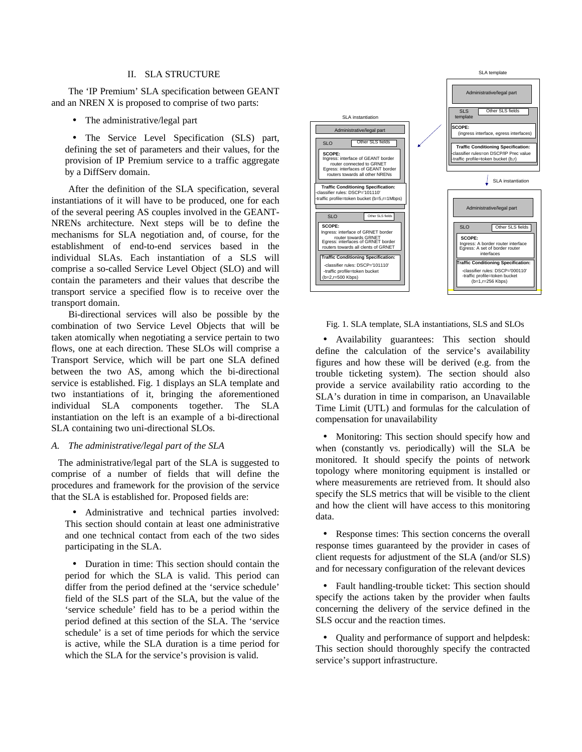#### II. SLA STRUCTURE

The 'IP Premium' SLA specification between GEANT and an NREN X is proposed to comprise of two parts:

The administrative/legal part

• The Service Level Specification (SLS) part, defining the set of parameters and their values, for the provision of IP Premium service to a traffic aggregate by a DiffServ domain.

After the definition of the SLA specification, several instantiations of it will have to be produced, one for each of the several peering AS couples involved in the GEANT-NRENs architecture. Next steps will be to define the mechanisms for SLA negotiation and, of course, for the establishment of end-to-end services based in the individual SLAs. Each instantiation of a SLS will comprise a so-called Service Level Object (SLO) and will contain the parameters and their values that describe the transport service a specified flow is to receive over the transport domain.

Bi-directional services will also be possible by the combination of two Service Level Objects that will be taken atomically when negotiating a service pertain to two flows, one at each direction. These SLOs will comprise a Transport Service, which will be part one SLA defined between the two AS, among which the bi-directional service is established. Fig. 1 displays an SLA template and two instantiations of it, bringing the aforementioned individual SLA components together. The SLA instantiation on the left is an example of a bi-directional SLA containing two uni-directional SLOs.

#### *A. The administrative/legal part of the SLA*

The administrative/legal part of the SLA is suggested to comprise of a number of fields that will define the procedures and framework for the provision of the service that the SLA is established for. Proposed fields are:

• Administrative and technical parties involved: This section should contain at least one administrative and one technical contact from each of the two sides participating in the SLA.

• Duration in time: This section should contain the period for which the SLA is valid. This period can differ from the period defined at the 'service schedule' field of the SLS part of the SLA, but the value of the 'service schedule' field has to be a period within the period defined at this section of the SLA. The 'service schedule' is a set of time periods for which the service is active, while the SLA duration is a time period for which the SLA for the service's provision is valid.



Fig. 1. SLA template, SLA instantiations, SLS and SLOs

• Availability guarantees: This section should define the calculation of the service's availability figures and how these will be derived (e.g. from the trouble ticketing system). The section should also provide a service availability ratio according to the SLA's duration in time in comparison, an Unavailable Time Limit (UTL) and formulas for the calculation of compensation for unavailability

• Monitoring: This section should specify how and when (constantly vs. periodically) will the SLA be monitored. It should specify the points of network topology where monitoring equipment is installed or where measurements are retrieved from. It should also specify the SLS metrics that will be visible to the client and how the client will have access to this monitoring data.

• Response times: This section concerns the overall response times guaranteed by the provider in cases of client requests for adjustment of the SLA (and/or SLS) and for necessary configuration of the relevant devices

• Fault handling-trouble ticket: This section should specify the actions taken by the provider when faults concerning the delivery of the service defined in the SLS occur and the reaction times.

• Quality and performance of support and helpdesk: This section should thoroughly specify the contracted service's support infrastructure.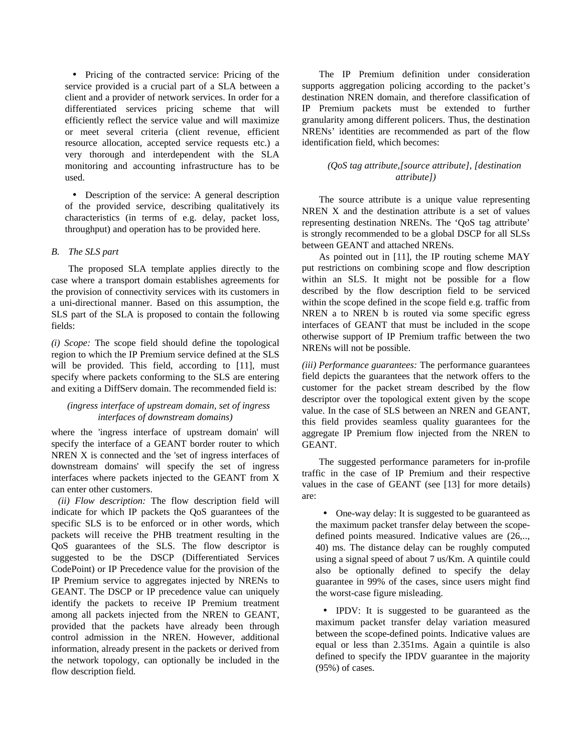• Pricing of the contracted service: Pricing of the service provided is a crucial part of a SLA between a client and a provider of network services. In order for a differentiated services pricing scheme that will efficiently reflect the service value and will maximize or meet several criteria (client revenue, efficient resource allocation, accepted service requests etc.) a very thorough and interdependent with the SLA monitoring and accounting infrastructure has to be used.

• Description of the service: A general description of the provided service, describing qualitatively its characteristics (in terms of e.g. delay, packet loss, throughput) and operation has to be provided here.

### *B. The SLS part*

The proposed SLA template applies directly to the case where a transport domain establishes agreements for the provision of connectivity services with its customers in a uni-directional manner. Based on this assumption, the SLS part of the SLA is proposed to contain the following fields:

*(i) Scope:* The scope field should define the topological region to which the IP Premium service defined at the SLS will be provided. This field, according to [11], must specify where packets conforming to the SLS are entering and exiting a DiffServ domain. The recommended field is:

### *(ingress interface of upstream domain, set of ingress interfaces of downstream domains)*

where the 'ingress interface of upstream domain' will specify the interface of a GEANT border router to which NREN X is connected and the 'set of ingress interfaces of downstream domains' will specify the set of ingress interfaces where packets injected to the GEANT from X can enter other customers.

*(ii) Flow description:* The flow description field will indicate for which IP packets the QoS guarantees of the specific SLS is to be enforced or in other words, which packets will receive the PHB treatment resulting in the QoS guarantees of the SLS. The flow descriptor is suggested to be the DSCP (Differentiated Services CodePoint) or IP Precedence value for the provision of the IP Premium service to aggregates injected by NRENs to GEANT. The DSCP or IP precedence value can uniquely identify the packets to receive IP Premium treatment among all packets injected from the NREN to GEANT, provided that the packets have already been through control admission in the NREN. However, additional information, already present in the packets or derived from the network topology, can optionally be included in the flow description field.

The IP Premium definition under consideration supports aggregation policing according to the packet's destination NREN domain, and therefore classification of IP Premium packets must be extended to further granularity among different policers. Thus, the destination NRENs' identities are recommended as part of the flow identification field, which becomes:

### *(QoS tag attribute,[source attribute], [destination attribute])*

The source attribute is a unique value representing NREN X and the destination attribute is a set of values representing destination NRENs. The 'QoS tag attribute' is strongly recommended to be a global DSCP for all SLSs between GEANT and attached NRENs.

As pointed out in [11], the IP routing scheme MAY put restrictions on combining scope and flow description within an SLS. It might not be possible for a flow described by the flow description field to be serviced within the scope defined in the scope field e.g. traffic from NREN a to NREN b is routed via some specific egress interfaces of GEANT that must be included in the scope otherwise support of IP Premium traffic between the two NRENs will not be possible.

*(iii) Performance guarantees:* The performance guarantees field depicts the guarantees that the network offers to the customer for the packet stream described by the flow descriptor over the topological extent given by the scope value. In the case of SLS between an NREN and GEANT, this field provides seamless quality guarantees for the aggregate IP Premium flow injected from the NREN to GEANT.

The suggested performance parameters for in-profile traffic in the case of IP Premium and their respective values in the case of GEANT (see [13] for more details) are:

• One-way delay: It is suggested to be guaranteed as the maximum packet transfer delay between the scopedefined points measured. Indicative values are (26,.., 40) ms. The distance delay can be roughly computed using a signal speed of about 7 us/Km. A quintile could also be optionally defined to specify the delay guarantee in 99% of the cases, since users might find the worst-case figure misleading.

• IPDV: It is suggested to be guaranteed as the maximum packet transfer delay variation measured between the scope-defined points. Indicative values are equal or less than 2.351ms. Again a quintile is also defined to specify the IPDV guarantee in the majority (95%) of cases.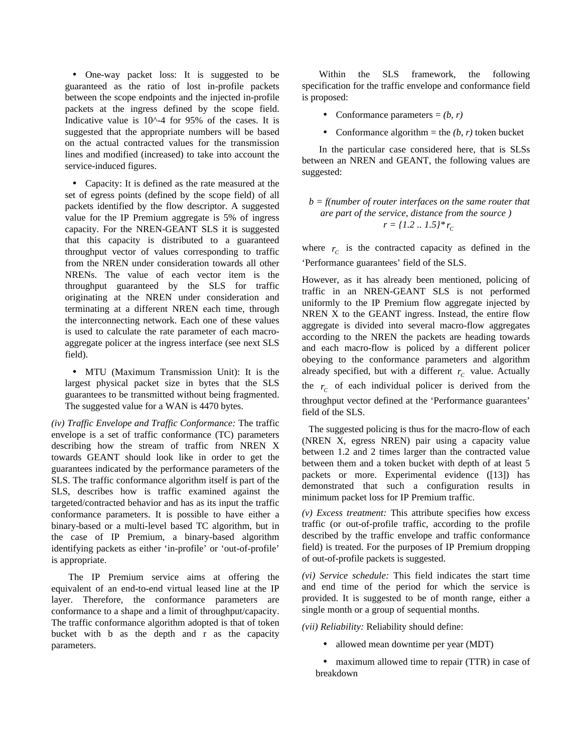• One-way packet loss: It is suggested to be guaranteed as the ratio of lost in-profile packets between the scope endpoints and the injected in-profile packets at the ingress defined by the scope field. Indicative value is  $10<sup>0</sup> - 4$  for 95% of the cases. It is suggested that the appropriate numbers will be based on the actual contracted values for the transmission lines and modified (increased) to take into account the service-induced figures.

• Capacity: It is defined as the rate measured at the set of egress points (defined by the scope field) of all packets identified by the flow descriptor. A suggested value for the IP Premium aggregate is 5% of ingress capacity. For the NREN-GEANT SLS it is suggested that this capacity is distributed to a guaranteed throughput vector of values corresponding to traffic from the NREN under consideration towards all other NRENs. The value of each vector item is the throughput guaranteed by the SLS for traffic originating at the NREN under consideration and terminating at a different NREN each time, through the interconnecting network. Each one of these values is used to calculate the rate parameter of each macroaggregate policer at the ingress interface (see next SLS field).

• MTU (Maximum Transmission Unit): It is the largest physical packet size in bytes that the SLS guarantees to be transmitted without being fragmented. The suggested value for a WAN is 4470 bytes.

*(iv) Traffic Envelope and Traffic Conformance:* The traffic envelope is a set of traffic conformance (TC) parameters describing how the stream of traffic from NREN X towards GEANT should look like in order to get the guarantees indicated by the performance parameters of the SLS. The traffic conformance algorithm itself is part of the SLS, describes how is traffic examined against the targeted/contracted behavior and has as its input the traffic conformance parameters. It is possible to have either a binary-based or a multi-level based TC algorithm, but in the case of IP Premium, a binary-based algorithm identifying packets as either 'in-profile' or 'out-of-profile' is appropriate.

The IP Premium service aims at offering the equivalent of an end-to-end virtual leased line at the IP layer. Therefore, the conformance parameters are conformance to a shape and a limit of throughput/capacity. The traffic conformance algorithm adopted is that of token bucket with b as the depth and r as the capacity parameters.

Within the SLS framework, the following specification for the traffic envelope and conformance field is proposed:

- Conformance parameters  $= (b, r)$
- Conformance algorithm  $=$  the *(b, r)* token bucket

In the particular case considered here, that is SLSs between an NREN and GEANT, the following values are suggested:

## *b = f(number of router interfaces on the same router that are part of the service, distance from the source )*  $r = \{1.2 \dots 1.5\} * r_c$

where  $r_c$  is the contracted capacity as defined in the 'Performance guarantees' field of the SLS.

However, as it has already been mentioned, policing of traffic in an NREN-GEANT SLS is not performed uniformly to the IP Premium flow aggregate injected by NREN X to the GEANT ingress. Instead, the entire flow aggregate is divided into several macro-flow aggregates according to the NREN the packets are heading towards and each macro-flow is policed by a different policer obeying to the conformance parameters and algorithm already specified, but with a different  $r_c$  value. Actually the  $r_c$  of each individual policer is derived from the throughput vector defined at the 'Performance guarantees' field of the SLS.

The suggested policing is thus for the macro-flow of each (NREN X, egress NREN) pair using a capacity value between 1.2 and 2 times larger than the contracted value between them and a token bucket with depth of at least 5 packets or more. Experimental evidence ([13]) has demonstrated that such a configuration results in minimum packet loss for IP Premium traffic.

*(v) Excess treatment:* This attribute specifies how excess traffic (or out-of-profile traffic, according to the profile described by the traffic envelope and traffic conformance field) is treated. For the purposes of IP Premium dropping of out-of-profile packets is suggested.

*(vi) Service schedule:* This field indicates the start time and end time of the period for which the service is provided. It is suggested to be of month range, either a single month or a group of sequential months.

*(vii) Reliability:* Reliability should define:

• allowed mean downtime per year (MDT)

• maximum allowed time to repair (TTR) in case of breakdown